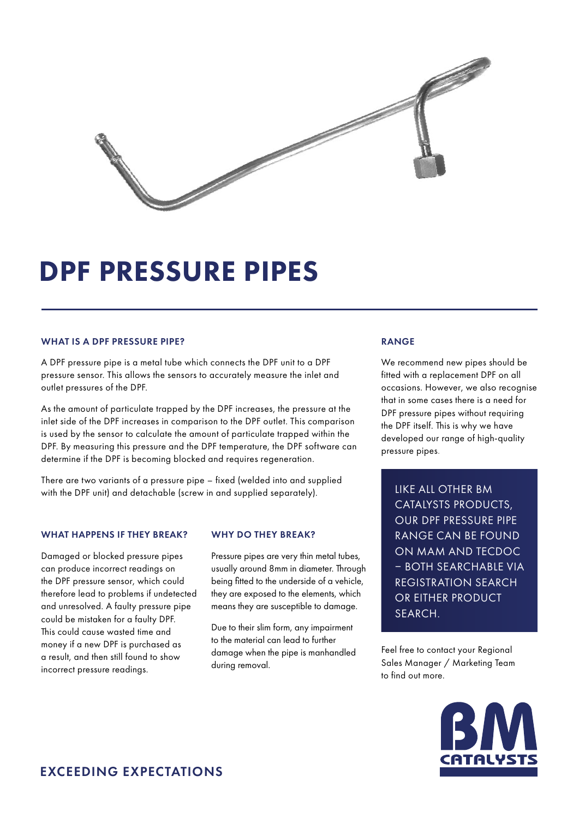

## DPF PRESSURE PIPES

#### WHAT IS A DPF PRESSURE PIPE?

A DPF pressure pipe is a metal tube which connects the DPF unit to a DPF pressure sensor. This allows the sensors to accurately measure the inlet and outlet pressures of the DPF.

As the amount of particulate trapped by the DPF increases, the pressure at the inlet side of the DPF increases in comparison to the DPF outlet. This comparison is used by the sensor to calculate the amount of particulate trapped within the DPF. By measuring this pressure and the DPF temperature, the DPF software can determine if the DPF is becoming blocked and requires regeneration.

There are two variants of a pressure pipe – fixed (welded into and supplied with the DPF unit) and detachable (screw in and supplied separately).

#### WHAT HAPPENS IF THEY BREAK?

Damaged or blocked pressure pipes can produce incorrect readings on the DPF pressure sensor, which could therefore lead to problems if undetected and unresolved. A faulty pressure pipe could be mistaken for a faulty DPF. This could cause wasted time and money if a new DPF is purchased as a result, and then still found to show incorrect pressure readings.

#### WHY DO THEY BREAK?

Pressure pipes are very thin metal tubes, usually around 8mm in diameter. Through being fitted to the underside of a vehicle, they are exposed to the elements, which means they are susceptible to damage.

Due to their slim form, any impairment to the material can lead to further damage when the pipe is manhandled during removal.

#### RANGE

We recommend new pipes should be fitted with a replacement DPF on all occasions. However, we also recognise that in some cases there is a need for DPF pressure pipes without requiring the DPF itself. This is why we have developed our range of high-quality pressure pipes.

LIKE ALL OTHER BM CATALYSTS PRODUCTS, OUR DPF PRESSURE PIPE RANGE CAN BE FOUND ON MAM AND TECDOC – BOTH SEARCHABLE VIA REGISTRATION SEARCH OR EITHER PRODUCT SEARCH.

Feel free to contact your Regional Sales Manager / Marketing Team to find out more.

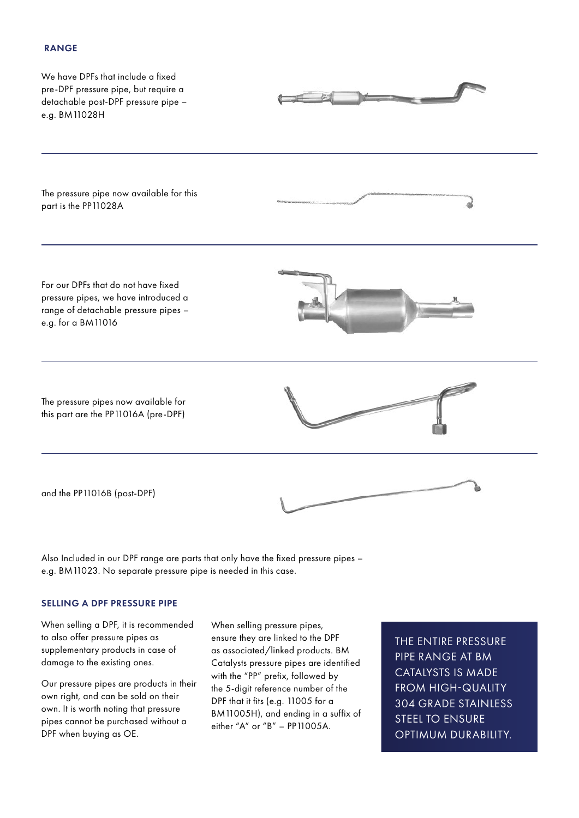## RANGE



Also Included in our DPF range are parts that only have the fixed pressure pipes – e.g. BM11023. No separate pressure pipe is needed in this case.

### SELLING A DPF PRESSURE PIPE

When selling a DPF, it is recommended to also offer pressure pipes as supplementary products in case of damage to the existing ones.

Our pressure pipes are products in their own right, and can be sold on their own. It is worth noting that pressure pipes cannot be purchased without a DPF when buying as OE.

When selling pressure pipes, ensure they are linked to the DPF as associated/linked products. BM Catalysts pressure pipes are identified with the "PP" prefix, followed by the 5-digit reference number of the DPF that it fits (e.g. 11005 for a BM11005H), and ending in a suffix of either "A" or "B" – PP11005A.

THE ENTIRE PRESSURE PIPE RANGE AT BM CATALYSTS IS MADE FROM HIGH-QUALITY 304 GRADE STAINLESS STEEL TO ENSURE OPTIMUM DURABILITY.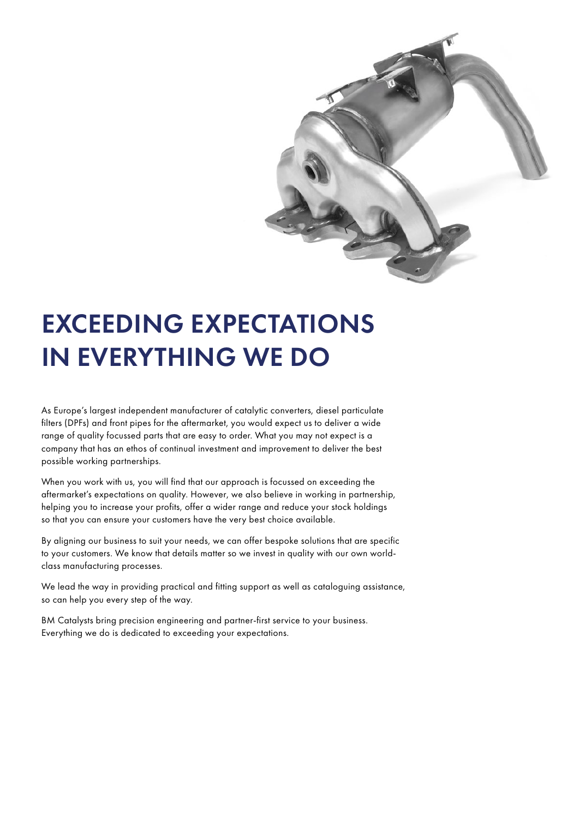

# EXCEEDING EXPECTATIONS IN EVERYTHING WE DO

As Europe's largest independent manufacturer of catalytic converters, diesel particulate filters (DPFs) and front pipes for the aftermarket, you would expect us to deliver a wide range of quality focussed parts that are easy to order. What you may not expect is a company that has an ethos of continual investment and improvement to deliver the best possible working partnerships.

When you work with us, you will find that our approach is focussed on exceeding the aftermarket's expectations on quality. However, we also believe in working in partnership, helping you to increase your profits, offer a wider range and reduce your stock holdings so that you can ensure your customers have the very best choice available.

By aligning our business to suit your needs, we can offer bespoke solutions that are specific to your customers. We know that details matter so we invest in quality with our own worldclass manufacturing processes.

We lead the way in providing practical and fitting support as well as cataloguing assistance, so can help you every step of the way.

BM Catalysts bring precision engineering and partner-first service to your business. Everything we do is dedicated to exceeding your expectations.